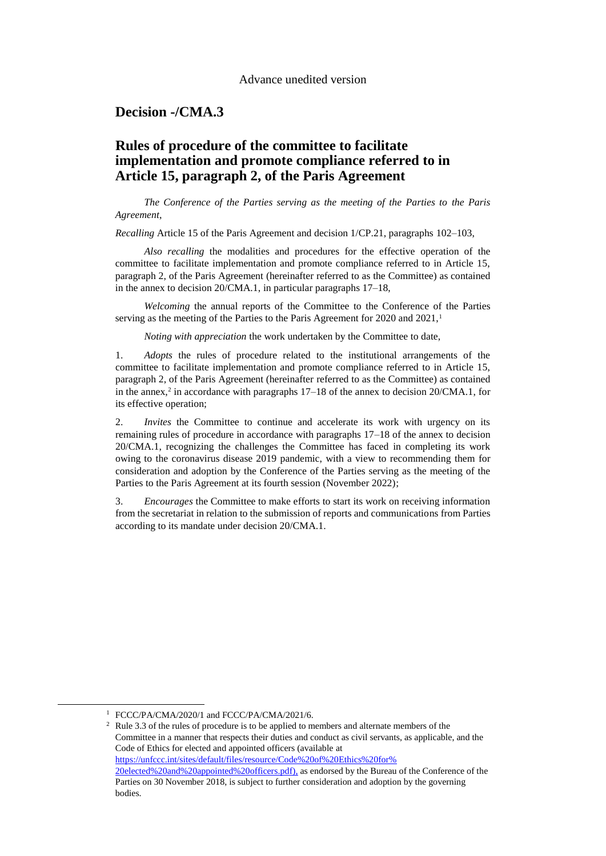### **Decision -/CMA.3**

# **Rules of procedure of the committee to facilitate implementation and promote compliance referred to in Article 15, paragraph 2, of the Paris Agreement**

*The Conference of the Parties serving as the meeting of the Parties to the Paris Agreement*,

*Recalling* Article 15 of the Paris Agreement and decision 1/CP.21, paragraphs 102–103,

*Also recalling* the modalities and procedures for the effective operation of the committee to facilitate implementation and promote compliance referred to in Article 15, paragraph 2, of the Paris Agreement (hereinafter referred to as the Committee) as contained in the annex to decision 20/CMA.1, in particular paragraphs 17–18,

*Welcoming* the annual reports of the Committee to the Conference of the Parties serving as the meeting of the Parties to the Paris Agreement for 2020 and  $2021$ ,<sup>1</sup>

*Noting with appreciation* the work undertaken by the Committee to date,

1. *Adopts* the rules of procedure related to the institutional arrangements of the committee to facilitate implementation and promote compliance referred to in Article 15, paragraph 2, of the Paris Agreement (hereinafter referred to as the Committee) as contained in the annex,<sup>2</sup> in accordance with paragraphs  $17-18$  of the annex to decision  $20/CMA.1$ , for its effective operation;

2. *Invites* the Committee to continue and accelerate its work with urgency on its remaining rules of procedure in accordance with paragraphs 17–18 of the annex to decision 20/CMA.1, recognizing the challenges the Committee has faced in completing its work owing to the coronavirus disease 2019 pandemic, with a view to recommending them for consideration and adoption by the Conference of the Parties serving as the meeting of the Parties to the Paris Agreement at its fourth session (November 2022);

3. *Encourages* the Committee to make efforts to start its work on receiving information from the secretariat in relation to the submission of reports and communications from Parties according to its mandate under decision 20/CMA.1.

1

<sup>&</sup>lt;sup>1</sup> FCCC/PA/CMA/2020/1 and FCCC/PA/CMA/2021/6.

<sup>&</sup>lt;sup>2</sup> Rule 3.3 of the rules of procedure is to be applied to members and alternate members of the Committee in a manner that respects their duties and conduct as civil servants, as applicable, and the Code of Ethics for elected and appointed officers (available at [https://unfccc.int/sites/default/files/resource/Code%20of%20Ethics%20for%](https://unfccc.int/sites/default/files/resource/Code%20of%20Ethics%20for%20elected%20and%20appointed%20officers.pdf) [20elected%20and%20appointed%20officers.pdf\)](https://unfccc.int/sites/default/files/resource/Code%20of%20Ethics%20for%20elected%20and%20appointed%20officers.pdf), as endorsed by the Bureau of the Conference of the Parties on 30 November 2018, is subject to further consideration and adoption by the governing bodies.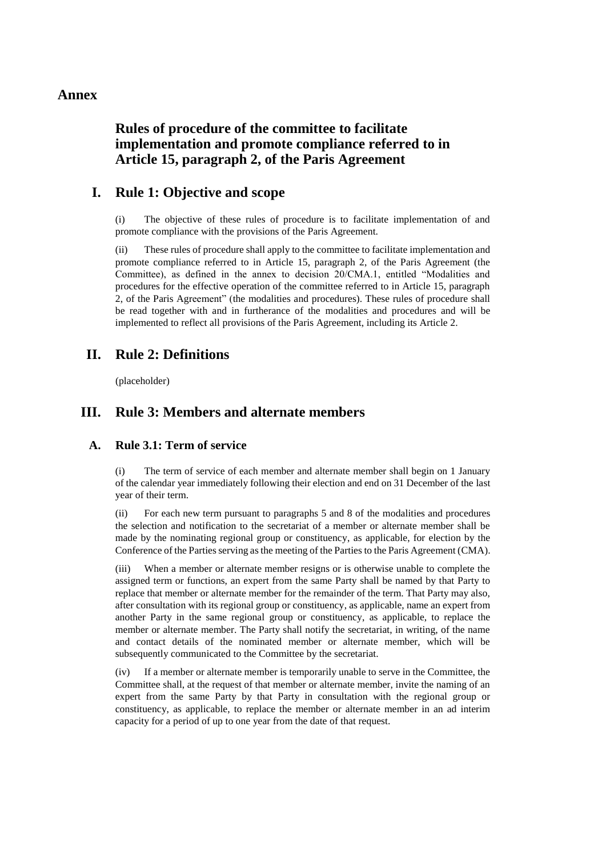#### **Annex**

# **Rules of procedure of the committee to facilitate implementation and promote compliance referred to in Article 15, paragraph 2, of the Paris Agreement**

### **I. Rule 1: Objective and scope**

(i) The objective of these rules of procedure is to facilitate implementation of and promote compliance with the provisions of the Paris Agreement.

(ii) These rules of procedure shall apply to the committee to facilitate implementation and promote compliance referred to in Article 15, paragraph 2, of the Paris Agreement (the Committee), as defined in the annex to decision 20/CMA.1, entitled "Modalities and procedures for the effective operation of the committee referred to in Article 15, paragraph 2, of the Paris Agreement" (the modalities and procedures). These rules of procedure shall be read together with and in furtherance of the modalities and procedures and will be implemented to reflect all provisions of the Paris Agreement, including its Article 2.

# **II. Rule 2: Definitions**

(placeholder)

# **III. Rule 3: Members and alternate members**

#### **A. Rule 3.1: Term of service**

(i) The term of service of each member and alternate member shall begin on 1 January of the calendar year immediately following their election and end on 31 December of the last year of their term.

(ii) For each new term pursuant to paragraphs 5 and 8 of the modalities and procedures the selection and notification to the secretariat of a member or alternate member shall be made by the nominating regional group or constituency, as applicable, for election by the Conference of the Parties serving as the meeting of the Parties to the Paris Agreement (CMA).

(iii) When a member or alternate member resigns or is otherwise unable to complete the assigned term or functions, an expert from the same Party shall be named by that Party to replace that member or alternate member for the remainder of the term. That Party may also, after consultation with its regional group or constituency, as applicable, name an expert from another Party in the same regional group or constituency, as applicable, to replace the member or alternate member. The Party shall notify the secretariat, in writing, of the name and contact details of the nominated member or alternate member, which will be subsequently communicated to the Committee by the secretariat.

(iv) If a member or alternate member is temporarily unable to serve in the Committee, the Committee shall, at the request of that member or alternate member, invite the naming of an expert from the same Party by that Party in consultation with the regional group or constituency, as applicable, to replace the member or alternate member in an ad interim capacity for a period of up to one year from the date of that request.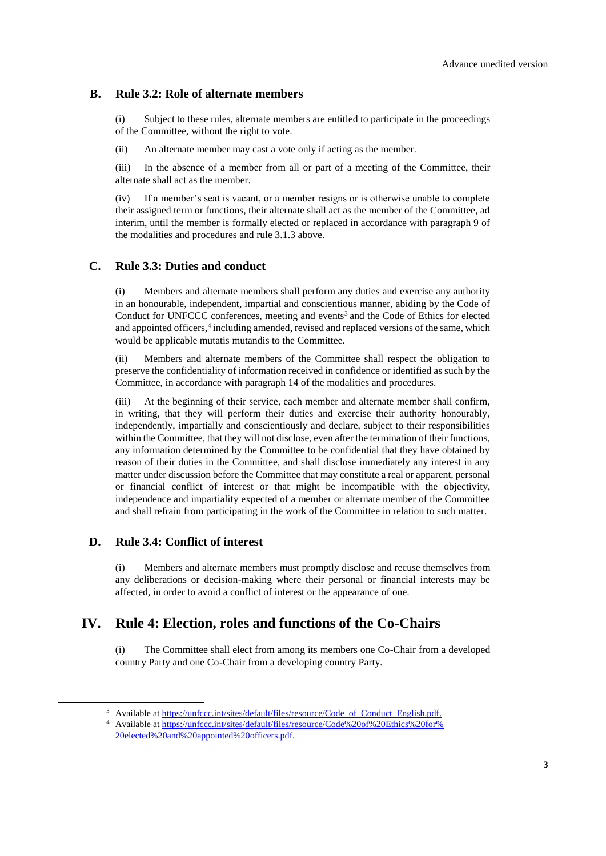#### **B. Rule 3.2: Role of alternate members**

(i) Subject to these rules, alternate members are entitled to participate in the proceedings of the Committee, without the right to vote.

(ii) An alternate member may cast a vote only if acting as the member.

(iii) In the absence of a member from all or part of a meeting of the Committee, their alternate shall act as the member.

(iv) If a member's seat is vacant, or a member resigns or is otherwise unable to complete their assigned term or functions, their alternate shall act as the member of the Committee, ad interim, until the member is formally elected or replaced in accordance with paragraph 9 of the modalities and procedures and rule 3.1.3 above.

#### **C. Rule 3.3: Duties and conduct**

(i) Members and alternate members shall perform any duties and exercise any authority in an honourable, independent, impartial and conscientious manner, abiding by the Code of Conduct for UNFCCC conferences, meeting and events<sup>3</sup> and the Code of Ethics for elected and appointed officers,<sup>4</sup> including amended, revised and replaced versions of the same, which would be applicable mutatis mutandis to the Committee.

(ii) Members and alternate members of the Committee shall respect the obligation to preserve the confidentiality of information received in confidence or identified as such by the Committee, in accordance with paragraph 14 of the modalities and procedures.

(iii) At the beginning of their service, each member and alternate member shall confirm, in writing, that they will perform their duties and exercise their authority honourably, independently, impartially and conscientiously and declare, subject to their responsibilities within the Committee, that they will not disclose, even after the termination of their functions, any information determined by the Committee to be confidential that they have obtained by reason of their duties in the Committee, and shall disclose immediately any interest in any matter under discussion before the Committee that may constitute a real or apparent, personal or financial conflict of interest or that might be incompatible with the objectivity, independence and impartiality expected of a member or alternate member of the Committee and shall refrain from participating in the work of the Committee in relation to such matter.

#### **D. Rule 3.4: Conflict of interest**

-

(i) Members and alternate members must promptly disclose and recuse themselves from any deliberations or decision-making where their personal or financial interests may be affected, in order to avoid a conflict of interest or the appearance of one.

# **IV. Rule 4: Election, roles and functions of the Co-Chairs**

(i) The Committee shall elect from among its members one Co-Chair from a developed country Party and one Co-Chair from a developing country Party.

<sup>&</sup>lt;sup>3</sup> Available at [https://unfccc.int/sites/default/files/resource/Code\\_of\\_Conduct\\_English.pdf.](https://unfccc.int/sites/default/files/resource/Code_of_Conduct_English.pdf)

<sup>4</sup> Available at [https://unfccc.int/sites/default/files/resource/Code%20of%20Ethics%20for%](https://unfccc.int/sites/default/files/resource/Code%20of%20Ethics%20for%20elected%20and%20appointed%20officers.pdf) [20elected%20and%20appointed%20officers.pdf.](https://unfccc.int/sites/default/files/resource/Code%20of%20Ethics%20for%20elected%20and%20appointed%20officers.pdf)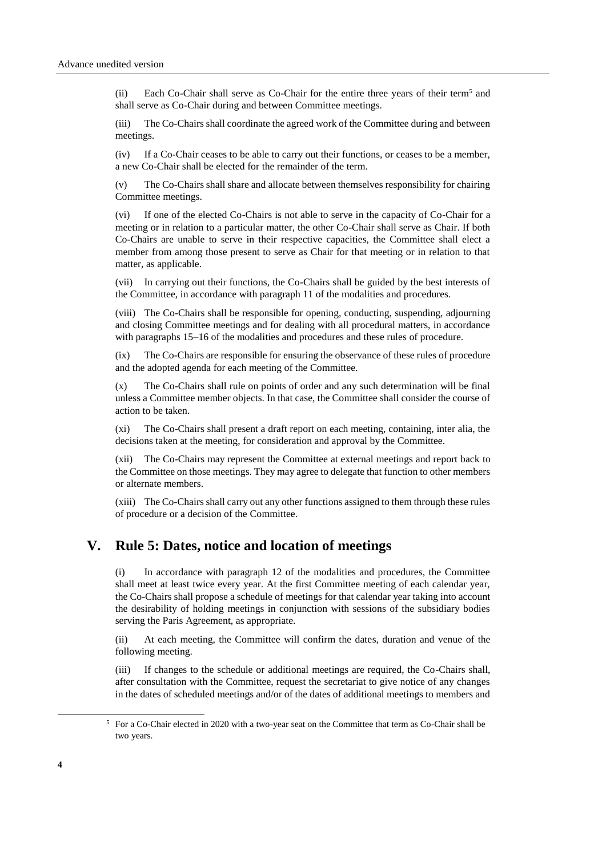(ii) Each Co-Chair shall serve as Co-Chair for the entire three years of their term<sup>5</sup> and shall serve as Co-Chair during and between Committee meetings.

(iii) The Co-Chairs shall coordinate the agreed work of the Committee during and between meetings.

(iv) If a Co-Chair ceases to be able to carry out their functions, or ceases to be a member, a new Co-Chair shall be elected for the remainder of the term.

(v) The Co-Chairs shall share and allocate between themselves responsibility for chairing Committee meetings.

(vi) If one of the elected Co-Chairs is not able to serve in the capacity of Co-Chair for a meeting or in relation to a particular matter, the other Co-Chair shall serve as Chair. If both Co-Chairs are unable to serve in their respective capacities, the Committee shall elect a member from among those present to serve as Chair for that meeting or in relation to that matter, as applicable.

(vii) In carrying out their functions, the Co-Chairs shall be guided by the best interests of the Committee, in accordance with paragraph 11 of the modalities and procedures.

(viii) The Co-Chairs shall be responsible for opening, conducting, suspending, adjourning and closing Committee meetings and for dealing with all procedural matters, in accordance with paragraphs 15–16 of the modalities and procedures and these rules of procedure.

(ix) The Co-Chairs are responsible for ensuring the observance of these rules of procedure and the adopted agenda for each meeting of the Committee.

(x) The Co-Chairs shall rule on points of order and any such determination will be final unless a Committee member objects. In that case, the Committee shall consider the course of action to be taken.

(xi) The Co-Chairs shall present a draft report on each meeting, containing, inter alia, the decisions taken at the meeting, for consideration and approval by the Committee.

(xii) The Co-Chairs may represent the Committee at external meetings and report back to the Committee on those meetings. They may agree to delegate that function to other members or alternate members.

(xiii) The Co-Chairs shall carry out any other functions assigned to them through these rules of procedure or a decision of the Committee.

## **V. Rule 5: Dates, notice and location of meetings**

(i) In accordance with paragraph 12 of the modalities and procedures, the Committee shall meet at least twice every year. At the first Committee meeting of each calendar year, the Co-Chairs shall propose a schedule of meetings for that calendar year taking into account the desirability of holding meetings in conjunction with sessions of the subsidiary bodies serving the Paris Agreement, as appropriate.

(ii) At each meeting, the Committee will confirm the dates, duration and venue of the following meeting.

(iii) If changes to the schedule or additional meetings are required, the Co-Chairs shall, after consultation with the Committee, request the secretariat to give notice of any changes in the dates of scheduled meetings and/or of the dates of additional meetings to members and

1

<sup>&</sup>lt;sup>5</sup> For a Co-Chair elected in 2020 with a two-year seat on the Committee that term as Co-Chair shall be two years.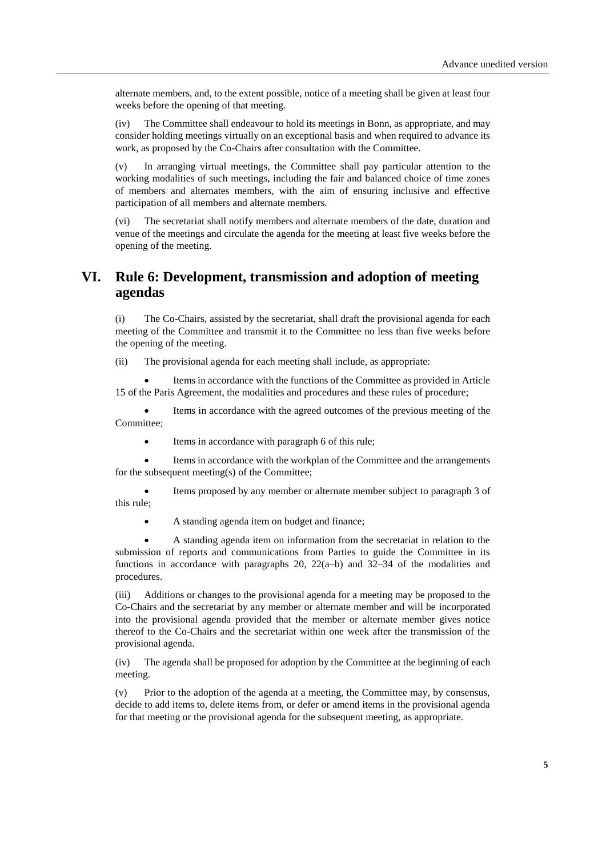alternate members, and, to the extent possible, notice of a meeting shall be given at least four weeks before the opening of that meeting.

(iv) The Committee shall endeavour to hold its meetings in Bonn, as appropriate, and may consider holding meetings virtually on an exceptional basis and when required to advance its work, as proposed by the Co-Chairs after consultation with the Committee.

(v) In arranging virtual meetings, the Committee shall pay particular attention to the working modalities of such meetings, including the fair and balanced choice of time zones of members and alternates members, with the aim of ensuring inclusive and effective participation of all members and alternate members.

(vi) The secretariat shall notify members and alternate members of the date, duration and venue of the meetings and circulate the agenda for the meeting at least five weeks before the opening of the meeting.

## **VI. Rule 6: Development, transmission and adoption of meeting agendas**

(i) The Co-Chairs, assisted by the secretariat, shall draft the provisional agenda for each meeting of the Committee and transmit it to the Committee no less than five weeks before the opening of the meeting.

(ii) The provisional agenda for each meeting shall include, as appropriate:

Items in accordance with the functions of the Committee as provided in Article 15 of the Paris Agreement, the modalities and procedures and these rules of procedure;

• Items in accordance with the agreed outcomes of the previous meeting of the Committee;

• Items in accordance with paragraph 6 of this rule;

Items in accordance with the workplan of the Committee and the arrangements for the subsequent meeting(s) of the Committee;

• Items proposed by any member or alternate member subject to paragraph 3 of this rule;

• A standing agenda item on budget and finance;

• A standing agenda item on information from the secretariat in relation to the submission of reports and communications from Parties to guide the Committee in its functions in accordance with paragraphs 20,  $22(a-b)$  and  $32-34$  of the modalities and procedures.

(iii) Additions or changes to the provisional agenda for a meeting may be proposed to the Co-Chairs and the secretariat by any member or alternate member and will be incorporated into the provisional agenda provided that the member or alternate member gives notice thereof to the Co-Chairs and the secretariat within one week after the transmission of the provisional agenda.

(iv) The agenda shall be proposed for adoption by the Committee at the beginning of each meeting.

(v) Prior to the adoption of the agenda at a meeting, the Committee may, by consensus, decide to add items to, delete items from, or defer or amend items in the provisional agenda for that meeting or the provisional agenda for the subsequent meeting, as appropriate.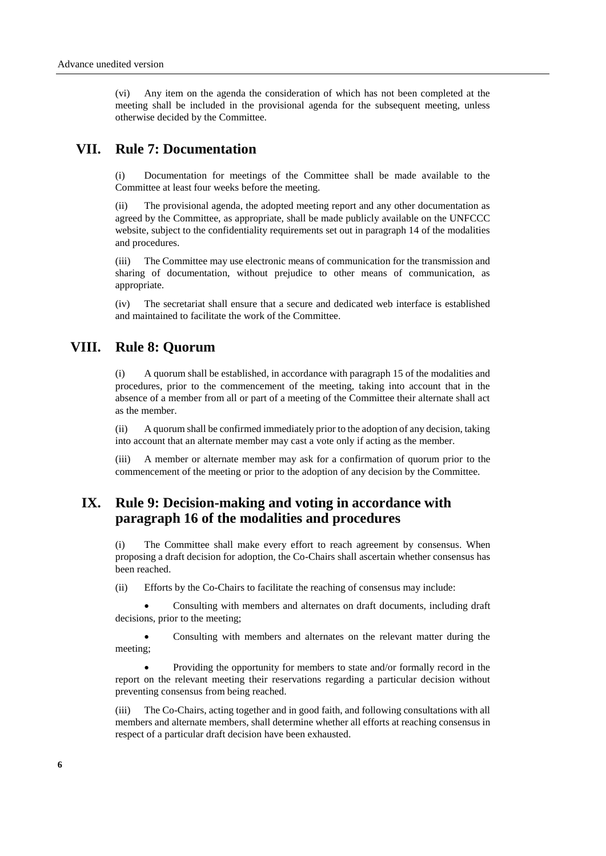(vi) Any item on the agenda the consideration of which has not been completed at the meeting shall be included in the provisional agenda for the subsequent meeting, unless otherwise decided by the Committee.

#### **VII. Rule 7: Documentation**

(i) Documentation for meetings of the Committee shall be made available to the Committee at least four weeks before the meeting.

(ii) The provisional agenda, the adopted meeting report and any other documentation as agreed by the Committee, as appropriate, shall be made publicly available on the UNFCCC website, subject to the confidentiality requirements set out in paragraph 14 of the modalities and procedures.

(iii) The Committee may use electronic means of communication for the transmission and sharing of documentation, without prejudice to other means of communication, as appropriate.

(iv) The secretariat shall ensure that a secure and dedicated web interface is established and maintained to facilitate the work of the Committee.

#### **VIII. Rule 8: Quorum**

(i) A quorum shall be established, in accordance with paragraph 15 of the modalities and procedures, prior to the commencement of the meeting, taking into account that in the absence of a member from all or part of a meeting of the Committee their alternate shall act as the member.

(ii) A quorum shall be confirmed immediately prior to the adoption of any decision, taking into account that an alternate member may cast a vote only if acting as the member.

(iii) A member or alternate member may ask for a confirmation of quorum prior to the commencement of the meeting or prior to the adoption of any decision by the Committee.

## **IX. Rule 9: Decision-making and voting in accordance with paragraph 16 of the modalities and procedures**

(i) The Committee shall make every effort to reach agreement by consensus. When proposing a draft decision for adoption, the Co-Chairs shall ascertain whether consensus has been reached.

(ii) Efforts by the Co-Chairs to facilitate the reaching of consensus may include:

• Consulting with members and alternates on draft documents, including draft decisions, prior to the meeting;

• Consulting with members and alternates on the relevant matter during the meeting;

• Providing the opportunity for members to state and/or formally record in the report on the relevant meeting their reservations regarding a particular decision without preventing consensus from being reached.

(iii) The Co-Chairs, acting together and in good faith, and following consultations with all members and alternate members, shall determine whether all efforts at reaching consensus in respect of a particular draft decision have been exhausted.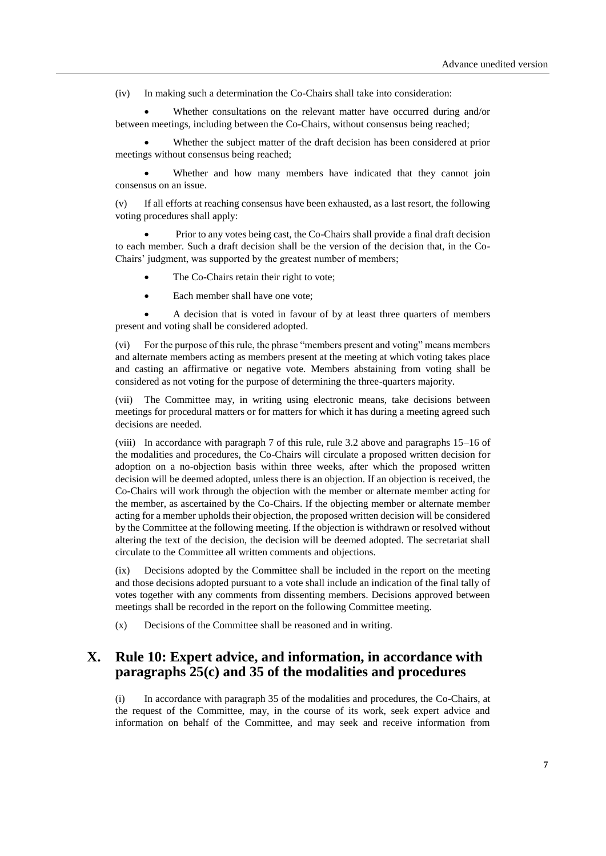(iv) In making such a determination the Co-Chairs shall take into consideration:

Whether consultations on the relevant matter have occurred during and/or between meetings, including between the Co-Chairs, without consensus being reached;

Whether the subject matter of the draft decision has been considered at prior meetings without consensus being reached;

Whether and how many members have indicated that they cannot join consensus on an issue.

(v) If all efforts at reaching consensus have been exhausted, as a last resort, the following voting procedures shall apply:

• Prior to any votes being cast, the Co-Chairs shall provide a final draft decision to each member. Such a draft decision shall be the version of the decision that, in the Co-Chairs' judgment, was supported by the greatest number of members;

- The Co-Chairs retain their right to vote;
- Each member shall have one vote:

• A decision that is voted in favour of by at least three quarters of members present and voting shall be considered adopted.

(vi) For the purpose of this rule, the phrase "members present and voting" means members and alternate members acting as members present at the meeting at which voting takes place and casting an affirmative or negative vote. Members abstaining from voting shall be considered as not voting for the purpose of determining the three-quarters majority.

(vii) The Committee may, in writing using electronic means, take decisions between meetings for procedural matters or for matters for which it has during a meeting agreed such decisions are needed.

(viii) In accordance with paragraph 7 of this rule, rule 3.2 above and paragraphs 15–16 of the modalities and procedures, the Co-Chairs will circulate a proposed written decision for adoption on a no-objection basis within three weeks, after which the proposed written decision will be deemed adopted, unless there is an objection. If an objection is received, the Co-Chairs will work through the objection with the member or alternate member acting for the member, as ascertained by the Co-Chairs. If the objecting member or alternate member acting for a member upholds their objection, the proposed written decision will be considered by the Committee at the following meeting. If the objection is withdrawn or resolved without altering the text of the decision, the decision will be deemed adopted. The secretariat shall circulate to the Committee all written comments and objections.

(ix) Decisions adopted by the Committee shall be included in the report on the meeting and those decisions adopted pursuant to a vote shall include an indication of the final tally of votes together with any comments from dissenting members. Decisions approved between meetings shall be recorded in the report on the following Committee meeting.

(x) Decisions of the Committee shall be reasoned and in writing.

## **X. Rule 10: Expert advice, and information, in accordance with paragraphs 25(c) and 35 of the modalities and procedures**

(i) In accordance with paragraph 35 of the modalities and procedures, the Co-Chairs, at the request of the Committee, may, in the course of its work, seek expert advice and information on behalf of the Committee, and may seek and receive information from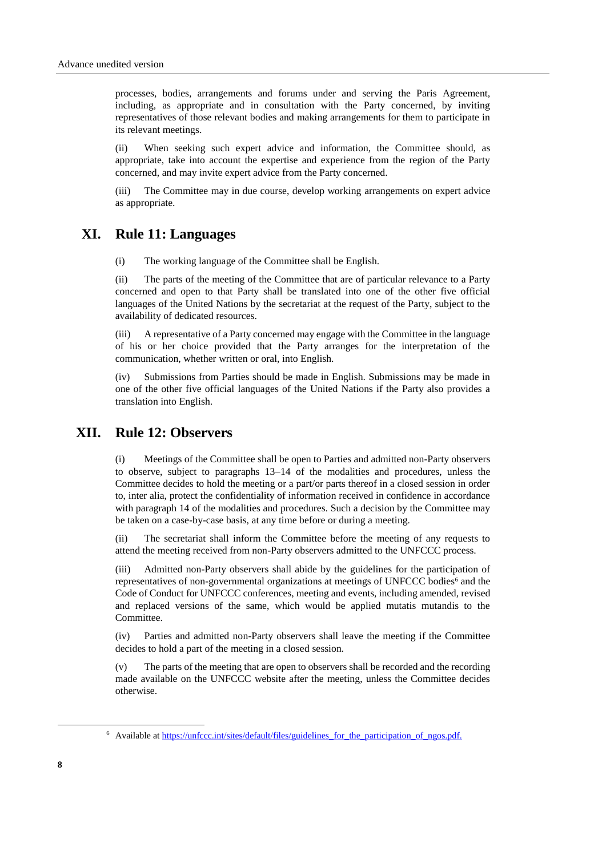processes, bodies, arrangements and forums under and serving the Paris Agreement, including, as appropriate and in consultation with the Party concerned, by inviting representatives of those relevant bodies and making arrangements for them to participate in its relevant meetings.

(ii) When seeking such expert advice and information, the Committee should, as appropriate, take into account the expertise and experience from the region of the Party concerned, and may invite expert advice from the Party concerned.

(iii) The Committee may in due course, develop working arrangements on expert advice as appropriate.

# **XI. Rule 11: Languages**

(i) The working language of the Committee shall be English.

(ii) The parts of the meeting of the Committee that are of particular relevance to a Party concerned and open to that Party shall be translated into one of the other five official languages of the United Nations by the secretariat at the request of the Party, subject to the availability of dedicated resources.

(iii) A representative of a Party concerned may engage with the Committee in the language of his or her choice provided that the Party arranges for the interpretation of the communication, whether written or oral, into English.

(iv) Submissions from Parties should be made in English. Submissions may be made in one of the other five official languages of the United Nations if the Party also provides a translation into English.

# **XII. Rule 12: Observers**

(i) Meetings of the Committee shall be open to Parties and admitted non-Party observers to observe, subject to paragraphs 13–14 of the modalities and procedures, unless the Committee decides to hold the meeting or a part/or parts thereof in a closed session in order to, inter alia, protect the confidentiality of information received in confidence in accordance with paragraph 14 of the modalities and procedures. Such a decision by the Committee may be taken on a case-by-case basis, at any time before or during a meeting.

(ii) The secretariat shall inform the Committee before the meeting of any requests to attend the meeting received from non-Party observers admitted to the UNFCCC process.

(iii) Admitted non-Party observers shall abide by the guidelines for the participation of representatives of non-governmental organizations at meetings of UNFCCC bodies $\delta$  and the Code of Conduct for UNFCCC conferences, meeting and events, including amended, revised and replaced versions of the same, which would be applied mutatis mutandis to the Committee.

(iv) Parties and admitted non-Party observers shall leave the meeting if the Committee decides to hold a part of the meeting in a closed session.

(v) The parts of the meeting that are open to observers shall be recorded and the recording made available on the UNFCCC website after the meeting, unless the Committee decides otherwise.

1

<sup>&</sup>lt;sup>6</sup> Available at [https://unfccc.int/sites/default/files/guidelines\\_for\\_the\\_participation\\_of\\_ngos.pdf.](https://unfccc.int/sites/default/files/guidelines_for_the_participation_of_ngos.pdf)